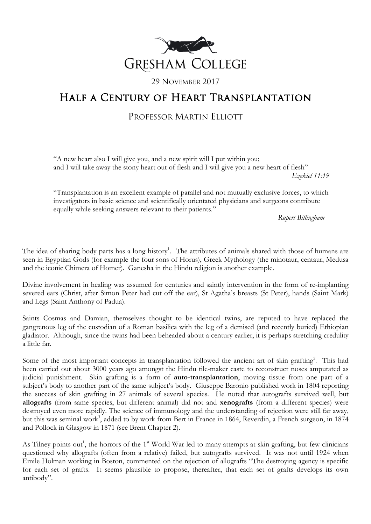

### 29 NOVEMBER 2017

# Half a Century of Heart Transplantation

## PROFESSOR MARTIN ELLIOTT

"A new heart also I will give you, and a new spirit will I put within you; and I will take away the stony heart out of flesh and I will give you a new heart of flesh"

*Ezekiel 11:19*

"Transplantation is an excellent example of parallel and not mutually exclusive forces, to which investigators in basic science and scientifically orientated physicians and surgeons contribute equally while seeking answers relevant to their patients."

*Rupert Billingham*

The idea of sharing body parts has a long history<sup>1</sup>. The attributes of animals shared with those of humans are seen in Egyptian Gods (for example the four sons of Horus), Greek Mythology (the minotaur, centaur, Medusa and the iconic Chimera of Homer). Ganesha in the Hindu religion is another example.

Divine involvement in healing was assumed for centuries and saintly intervention in the form of re-implanting severed ears (Christ, after Simon Peter had cut off the ear), St Agatha's breasts (St Peter), hands (Saint Mark) and Legs (Saint Anthony of Padua).

Saints Cosmas and Damian, themselves thought to be identical twins, are reputed to have replaced the gangrenous leg of the custodian of a Roman basilica with the leg of a demised (and recently buried) Ethiopian gladiator. Although, since the twins had been beheaded about a century earlier, it is perhaps stretching credulity a little far.

Some of the most important concepts in transplantation followed the ancient art of skin grafting<sup>2</sup>. This had been carried out about 3000 years ago amongst the Hindu tile-maker caste to reconstruct noses amputated as judicial punishment. Skin grafting is a form of **auto-transplantation**, moving tissue from one part of a subject's body to another part of the same subject's body. Giuseppe Baronio published work in 1804 reporting the success of skin grafting in 27 animals of several species. He noted that autografts survived well, but **allografts** (from same species, but different animal) did not and **xenografts** (from a different species) were destroyed even more rapidly. The science of immunology and the understanding of rejection were still far away, but this was seminal work<sup>3</sup>, added to by work from Bert in France in 1864, Reverdin, a French surgeon, in 1874 and Pollock in Glasgow in 1871 (see Brent Chapter 2).

As Tilney points out<sup>1</sup>, the horrors of the 1<sup>st</sup> World War led to many attempts at skin grafting, but few clinicians questioned why allografts (often from a relative) failed, but autografts survived. It was not until 1924 when Emile Holman working in Boston, commented on the rejection of allografts "The destroying agency is specific for each set of grafts. It seems plausible to propose, thereafter, that each set of grafts develops its own antibody".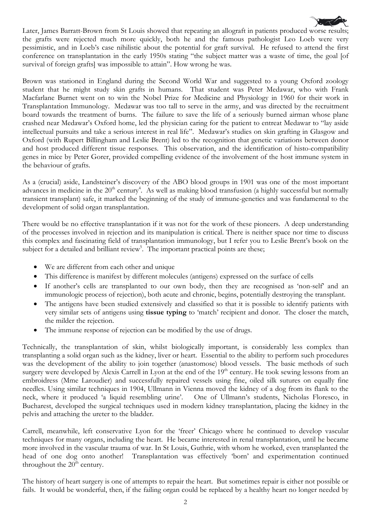

Brown was stationed in England during the Second World War and suggested to a young Oxford zoology student that he might study skin grafts in humans. That student was Peter Medawar, who with Frank Macfarlane Burnet went on to win the Nobel Prize for Medicine and Physiology in 1960 for their work in Transplantation Immunology. Medawar was too tall to serve in the army, and was directed by the recruitment board towards the treatment of burns. The failure to save the life of a seriously burned airman whose plane crashed near Medawar's Oxford home, led the physician caring for the patient to entreat Medawar to "lay aside intellectual pursuits and take a serious interest in real life". Medawar's studies on skin grafting in Glasgow and Oxford (with Rupert Billingham and Leslie Brent) led to the recognition that genetic variations between donor and host produced different tissue responses. This observation, and the identification of histo-compatibility genes in mice by Peter Gorer, provided compelling evidence of the involvement of the host immune system in the behaviour of grafts.

As a (crucial) aside, Landsteiner's discovery of the ABO blood groups in 1901 was one of the most important advances in medicine in the  $20^{th}$  century<sup>4</sup>. As well as making blood transfusion (a highly successful but normally transient transplant) safe, it marked the beginning of the study of immune-genetics and was fundamental to the development of solid organ transplantation.

There would be no effective transplantation if it was not for the work of these pioneers. A deep understanding of the processes involved in rejection and its manipulation is critical. There is neither space nor time to discuss this complex and fascinating field of transplantation immunology, but I refer you to Leslie Brent's book on the subject for a detailed and brilliant review<sup>5</sup>. The important practical points are these;

- We are different from each other and unique
- This difference is manifest by different molecules (antigens) expressed on the surface of cells
- If another's cells are transplanted to our own body, then they are recognised as 'non-self' and an immunologic process of rejection), both acute and chronic, begins, potentially destroying the transplant.
- The antigens have been studied extensively and classified so that it is possible to identify patients with very similar sets of antigens using **tissue typing** to 'match' recipient and donor. The closer the match, the milder the rejection.
- The immune response of rejection can be modified by the use of drugs.

Technically, the transplantation of skin, whilst biologically important, is considerably less complex than transplanting a solid organ such as the kidney, liver or heart. Essential to the ability to perform such procedures was the development of the ability to join together (anastomose) blood vessels. The basic methods of such surgery were developed by Alexis Carrell in Lyon at the end of the 19<sup>th</sup> century. He took sewing lessons from an embroidress (Mme Laroudier) and successfully repaired vessels using fine, oiled silk sutures on equally fine needles. Using similar techniques in 1904, Ullmann in Vienna moved the kidney of a dog from its flank to the neck, where it produced 'a liquid resembling urine'. One of Ullmann's students, Nicholas Floresco, in Bucharest, developed the surgical techniques used in modern kidney transplantation, placing the kidney in the pelvis and attaching the ureter to the bladder.

Carrell, meanwhile, left conservative Lyon for the 'freer' Chicago where he continued to develop vascular techniques for many organs, including the heart. He became interested in renal transplantation, until he became more involved in the vascular trauma of war. In St Louis, Guthrie, with whom he worked, even transplanted the head of one dog onto another! Transplantation was effectively 'born' and experimentation continued throughout the  $20<sup>th</sup>$  century.

The history of heart surgery is one of attempts to repair the heart. But sometimes repair is either not possible or fails. It would be wonderful, then, if the failing organ could be replaced by a healthy heart no longer needed by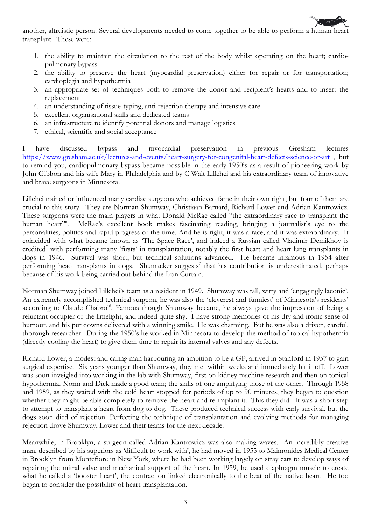

another, altruistic person. Several developments needed to come together to be able to perform a human heart transplant. These were;

- 1. the ability to maintain the circulation to the rest of the body whilst operating on the heart; cardiopulmonary bypass
- 2. the ability to preserve the heart (myocardial preservation) either for repair or for transportation; cardioplegia and hypothermia
- 3. an appropriate set of techniques both to remove the donor and recipient's hearts and to insert the replacement
- 4. an understanding of tissue-typing, anti-rejection therapy and intensive care
- 5. excellent organisational skills and dedicated teams
- 6. an infrastructure to identify potential donors and manage logistics
- 7. ethical, scientific and social acceptance

I have discussed bypass and myocardial preservation in previous Gresham lectures <https://www.gresham.ac.uk/lectures-and-events/heart-surgery-for-congenital-heart-defects-science-or-art> , but to remind you, cardiopulmonary bypass became possible in the early 1950's as a result of pioneering work by John Gibbon and his wife Mary in Philadelphia and by C Walt Lillehei and his extraordinary team of innovative and brave surgeons in Minnesota.

Lillehei trained or influenced many cardiac surgeons who achieved fame in their own right, but four of them are crucial to this story. They are Norman Shumway, Christiaan Barnard, Richard Lower and Adrian Kantrowicz. These surgeons were the main players in what Donald McRae called "the extraordinary race to transplant the human heart"<sup>6</sup>. . McRae's excellent book makes fascinating reading, bringing a journalist's eye to the personalities, politics and rapid progress of the time. And he is right, it was a race, and it was extraordinary. It coincided with what became known as 'The Space Race', and indeed a Russian called Vladimir Demikhov is credited<sup>7</sup> with performing many 'firsts' in transplantation, notably the first heart and heart lung transplants in dogs in 1946. Survival was short, but technical solutions advanced. He became infamous in 1954 after performing head transplants in dogs. Shumacker suggests<sup>7</sup> that his contribution is underestimated, perhaps because of his work being carried out behind the Iron Curtain.

Norman Shumway joined Lillehei's team as a resident in 1949. Shumway was tall, witty and 'engagingly laconic'. An extremely accomplished technical surgeon, he was also the 'cleverest and funniest' of Minnesota's residents' according to Claude Chabrol<sup>6</sup>. Famous though Shumway became, he always gave the impression of being a reluctant occupier of the limelight, and indeed quite shy. I have strong memories of his dry and ironic sense of humour, and his put downs delivered with a winning smile. He was charming. But he was also a driven, careful, thorough researcher. During the 1950's he worked in Minnesota to develop the method of topical hypothermia (directly cooling the heart) to give them time to repair its internal valves and any defects.

Richard Lower, a modest and caring man harbouring an ambition to be a GP, arrived in Stanford in 1957 to gain surgical expertise. Six years younger than Shumway, they met within weeks and immediately hit it off. Lower was soon inveigled into working in the lab with Shumway, first on kidney machine research and then on topical hypothermia. Norm and Dick made a good team; the skills of one amplifying those of the other. Through 1958 and 1959, as they waited with the cold heart stopped for periods of up to 90 minutes, they began to question whether they might be able completely to remove the heart and re-implant it. This they did. It was a short step to attempt to transplant a heart from dog to dog. These produced technical success with early survival, but the dogs soon died of rejection. Perfecting the technique of transplantation and evolving methods for managing rejection drove Shumway, Lower and their teams for the next decade.

Meanwhile, in Brooklyn, a surgeon called Adrian Kantrowicz was also making waves. An incredibly creative man, described by his superiors as 'difficult to work with', he had moved in 1955 to Maimonides Medical Center in Brooklyn from Montefiore in New York, where he had been working largely on stray cats to develop ways of repairing the mitral valve and mechanical support of the heart. In 1959, he used diaphragm muscle to create what he called a 'booster heart', the contraction linked electronically to the beat of the native heart. He too began to consider the possibility of heart transplantation.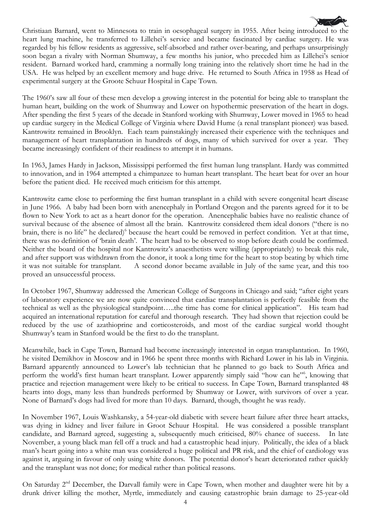Christiaan Barnard, went to Minnesota to train in oesophageal surgery in 1955. After being introduced to the heart lung machine, he transferred to Lillehei's service and became fascinated by cardiac surgery. He was regarded by his fellow residents as aggressive, self-absorbed and rather over-bearing, and perhaps unsurprisingly soon began a rivalry with Norman Shumway, a few months his junior, who preceded him as Lillehei's senior resident. Barnard worked hard, cramming a normally long training into the relatively short time he had in the USA. He was helped by an excellent memory and huge drive. He returned to South Africa in 1958 as Head of experimental surgery at the Groote Schuur Hospital in Cape Town.

The 1960's saw all four of these men develop a growing interest in the potential for being able to transplant the human heart, building on the work of Shumway and Lower on hypothermic preservation of the heart in dogs. After spending the first 5 years of the decade in Stanford working with Shumway, Lower moved in 1965 to head up cardiac surgery in the Medical College of Virginia where David Hume (a renal transplant pioneer) was based. Kantrowitz remained in Brooklyn. Each team painstakingly increased their experience with the techniques and management of heart transplantation in hundreds of dogs, many of which survived for over a year. They became increasingly confident of their readiness to attempt it in humans.

In 1963, James Hardy in Jackson, Mississippi performed the first human lung transplant. Hardy was committed to innovation, and in 1964 attempted a chimpanzee to human heart transplant. The heart beat for over an hour before the patient died. He received much criticism for this attempt.

Kantrowitz came close to performing the first human transplant in a child with severe congenital heart disease in June 1966. A baby had been born with anencephaly in Portland Oregon and the parents agreed for it to be flown to New York to act as a heart donor for the operation. Anencephalic babies have no realistic chance of survival because of the absence of almost all the brain. Kantrowitz considered them ideal donors ("there is no brain, there is no life" he declared)<sup>6</sup> because the heart could be removed in perfect condition. Yet at that time, there was no definition of 'brain death'. The heart had to be observed to stop before death could be confirmed. Neither the board of the hospital nor Kantrowitz's anaesthetists were willing (appropriately) to break this rule, and after support was withdrawn from the donor, it took a long time for the heart to stop beating by which time it was not suitable for transplant. A second donor became available in July of the same year, and this too proved an unsuccessful process.

In October 1967, Shumway addressed the American College of Surgeons in Chicago and said; "after eight years of laboratory experience we are now quite convinced that cardiac transplantation is perfectly feasible from the technical as well as the physiological standpoint…..the time has come for clinical application". His team had acquired an international reputation for careful and thorough research. They had shown that rejection could be reduced by the use of azathioprine and corticosteroids, and most of the cardiac surgical world thought Shumway's team in Stanford would be the first to do the transplant.

Meanwhile, back in Cape Town, Barnard had become increasingly interested in organ transplantation. In 1960, he visited Demikhov in Moscow and in 1966 he spent three months with Richard Lower in his lab in Virginia. Barnard apparently announced to Lower's lab technician that he planned to go back to South Africa and perform the world's first human heart transplant. Lower apparently simply said "how can he"<sup>6</sup>, knowing that practice and rejection management were likely to be critical to success. In Cape Town, Barnard transplanted 48 hearts into dogs, many less than hundreds performed by Shumway or Lower, with survivors of over a year. None of Barnard's dogs had lived for more than 10 days. Barnard, though, thought he was ready.

In November 1967, Louis Washkansky, a 54-year-old diabetic with severe heart failure after three heart attacks, was dying in kidney and liver failure in Groot Schuur Hospital. He was considered a possible transplant candidate, and Barnard agreed, suggesting a, subsequently much criticised, 80% chance of success. In late November, a young black man fell off a truck and had a catastrophic head injury. Politically, the idea of a black man's heart going into a white man was considered a huge political and PR risk, and the chief of cardiology was against it, arguing in favour of only using white donors. The potential donor's heart deteriorated rather quickly and the transplant was not done; for medical rather than political reasons.

On Saturday 2<sup>nd</sup> December, the Darvall family were in Cape Town, when mother and daughter were hit by a drunk driver killing the mother, Myrtle, immediately and causing catastrophic brain damage to 25-year-old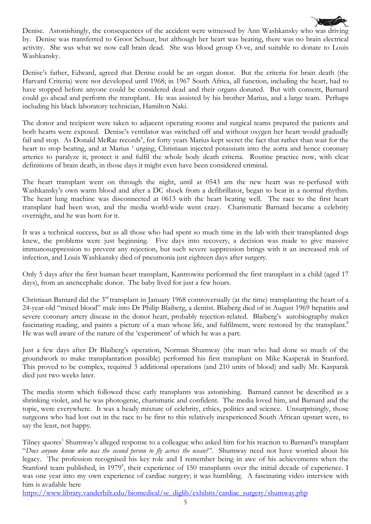Denise. Astonishingly, the consequences of the accident were witnessed by Ann Washkansky who was driving by. Denise was transferred to Groot Schuur, but although her heart was beating, there was no brain electrical activity. She was what we now call brain dead. She was blood group O-ve, and suitable to donate to Louis Washkansky.

Denise's father, Edward, agreed that Denise could be an organ donor. But the criteria for brain death (the Harvard Criteria) were not developed until 1968; in 1967 South Africa, all function, including the heart, had to have stopped before anyone could be considered dead and their organs donated. But with consent, Barnard could go ahead and perform the transplant. He was assisted by his brother Marius, and a large team. Perhaps including his black laboratory technician, Hamilton Naki.

The donor and recipient were taken to adjacent operating rooms and surgical teams prepared the patients and both hearts were exposed. Denise's ventilator was switched off and without oxygen her heart would gradually fail and stop. As Donald McRae records<sup>6</sup>, for forty years Marius kept secret the fact that rather than wait for the heart to stop beating, and at Marius ' urging, Christiaan injected potassium into the aorta and hence coronary arteries to paralyze it, protect it and fulfil the whole body death criteria. Routine practice now, with clear definitions of brain death, in those days it might even have been considered criminal.

The heart transplant went on through the night, until at 0543 am the new heart was re-perfused with Washkansky's own warm blood and after a DC shock from a defibrillator, began to beat in a normal rhythm. The heart lung machine was disconnected at 0613 with the heart beating well. The race to the first heart transplant had been won, and the media world-wide went crazy. Charismatic Barnard became a celebrity overnight, and he was born for it.

It was a technical success, but as all those who had spent so much time in the lab with their transplanted dogs knew, the problems were just beginning. Five days into recovery, a decision was made to give massive immunosuppression to prevent any rejection, but such severe suppression brings with it an increased risk of infection, and Louis Washkansky died of pneumonia just eighteen days after surgery.

Only 5 days after the first human heart transplant, Kantrowitz performed the first transplant in a child (aged 17 days), from an anencephalic donor. The baby lived for just a few hours.

Christiaan Barnard did the 3rd transplant in January 1968 controversially (at the time) transplanting the heart of a 24-year-old "mixed blood" male into Dr Philip Blaiberg, a dentist. Blaiberg died of in August 1969 hepatitis and severe coronary artery disease in the donor heart, probably rejection-related. Blaiberg's autobiography makes fascinating reading, and paints a picture of a man whose life, and fulfilment, were restored by the transplant.<sup>8</sup> He was well aware of the nature of the 'experiment' of which he was a part.

Just a few days after Dr Blaiberg's operation, Norman Shumway (the man who had done so much of the groundwork to make transplantation possible) performed his first transplant on Mike Kasperak in Stanford. This proved to be complex, required 3 additional operations (and 210 units of blood) and sadly Mr. Kasparak died just two weeks later.

The media storm which followed these early transplants was astonishing. Barnard cannot be described as a shrinking violet, and he was photogenic, charismatic and confident. The media loved him, and Barnard and the topic, were everywhere. It was a heady mixture of celebrity, ethics, politics and science. Unsurprisingly, those surgeons who had lost out in the race to be first to this relatively inexperienced South African upstart were, to say the least, not happy.

Tilney quotes<sup>1</sup> Shumway's alleged response to a colleague who asked him for his reaction to Barnard's transplant "*Does anyone know who was the second person to fly across the ocean?"*. Shumway need not have worried about his legacy. The profession recognised his key role and I remember being in awe of his achievements when the Stanford team published, in 1979<sup>9</sup>, their experience of 150 transplants over the initial decade of experience. I was one year into my own experience of cardiac surgery; it was humbling. A fascinating video interview with him is available here

[https://www.library.vanderbilt.edu/biomedical/sc\\_diglib/exhibits/cardiac\\_surgery/shumway.php](https://www.library.vanderbilt.edu/biomedical/sc_diglib/exhibits/cardiac_surgery/shumway.php)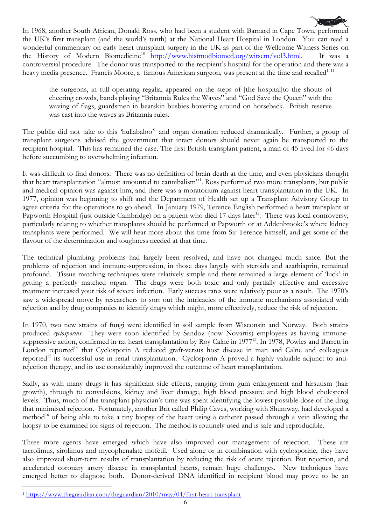

In 1968, another South African, Donald Ross, who had been a student with Barnard in Cape Town, performed the UK's first transplant (and the world's tenth) at the National Heart Hospital in London. You can read a wonderful commentary on early heart transplant surgery in the UK as part of the Wellcome Witness Series on the History of Modern Biomedicine<sup>10</sup> [http://www.histmodbiomed.org/witsem/vol3.html.](http://www.histmodbiomed.org/witsem/vol3.html) It was a controversial procedure. The donor was transported to the recipient's hospital for the operation and there was a heavy media presence. Francis Moore, a famous American surgeon, was present at the time and recalled<sup>1, 11</sup>

the surgeons, in full operating regalia, appeared on the steps of [the hospital]to the shouts of cheering crowds, bands playing "Britannia Rules the Waves" and "God Save the Queen" with the waving of flags, guardsmen in bearskin busbies hovering around on horseback. British reserve was cast into the waves as Britannia rules.

The public did not take to this 'hullabaloo'<sup>1</sup> and organ donation reduced dramatically. Further, a group of transplant surgeons advised the government that intact donors should never again be transported to the recipient hospital. This has remained the case. The first British transplant patient, a man of 45 lived for 46 days before succumbing to overwhelming infection.

It was difficult to find donors. There was no definition of brain death at the time, and even physicians thought that heart transplantation "almost amounted to cannibalism"<sup>[1](#page-5-0)</sup>. Ross performed two more transplants, but public and medical opinion was against him, and there was a moratorium against heart transplantation in the UK. In 1977, opinion was beginning to shift and the Department of Health set up a Transplant Advisory Group to agree criteria for the operations to go ahead. In January 1979, Terence English performed a heart transplant at Papworth Hospital (just outside Cambridge) on a patient who died 17 days later<sup>12</sup>. There was local controversy, particularly relating to whether transplants should be performed at Papworth or at Addenbrooke's where kidney transplants were performed. We will hear more about this time from Sir Terence himself, and get some of the flavour of the determination and toughness needed at that time.

The technical plumbing problems had largely been resolved, and have not changed much since. But the problems of rejection and immune-suppression, in those days largely with steroids and azathiaprin, remained profound. Tissue matching techniques were relatively simple and there remained a large element of 'luck' in getting a perfectly matched organ. The drugs were both toxic and only partially effective and excessive treatment increased your risk of severe infection. Early success rates were relatively poor as a result. The 1970's saw a widespread move by researchers to sort out the intricacies of the immune mechanisms associated with rejection and by drug companies to identify drugs which might, more effectively, reduce the risk of rejection.

In 1970, two new strains of fungi were identified in soil sample from Wisconsin and Norway. Both strains produced *cyclosporins*. They were soon identified by Sandoz (now Novartis) employees as having immunesuppressive action, confirmed in rat heart transplantation by Roy Calne in 1977<sup>13</sup>. In 1978, Powles and Barrett in London reported<sup>14</sup> that Cyclosporin A reduced graft-versus host disease in man and Calne and colleagues reported<sup>15</sup> its successful use in renal transplantation. Cyclosporin A proved a highly valuable adjunct to antirejection therapy, and its use considerably improved the outcome of heart transplantation.

Sadly, as with many drugs it has significant side effects, ranging from gum enlargement and hirsutism (hair growth), through to convulsions, kidney and liver damage, high blood pressure and high blood cholesterol levels. Thus, much of the transplant physician's time was spent identifying the lowest possible dose of the drug that minimised rejection. Fortunately, another Brit called Philip Caves, working with Shumway, had developed a method<sup>16</sup> of being able to take a tiny biopsy of the heart using a catheter passed through a vein allowing the biopsy to be examined for signs of rejection. The method is routinely used and is safe and reproducible.

Three more agents have emerged which have also improved our management of rejection. These are tacrolimus, sirolimus and mycophenalate mofetil. Used alone or in combination with cyclosporine, they have also improved short-term results of transplantation by reducing the risk of acute rejection. But rejection, and accelerated coronary artery disease in transplanted hearts, remain huge challenges. New techniques have emerged better to diagnose both. Donor-derived DNA identified in recipient blood may prove to be an

 $\overline{a}$ 

<span id="page-5-0"></span><sup>1</sup> <https://www.theguardian.com/theguardian/2010/may/04/first-heart-transplant>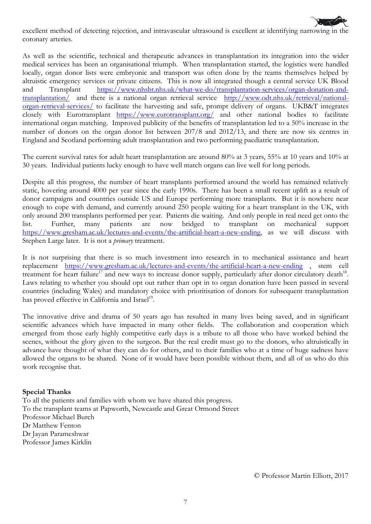

excellent method of detecting rejection, and intravascular ultrasound is excellent at identifying narrowing in the coronary arteries.

As well as the scientific, technical and therapeutic advances in transplantation its integration into the wider medical services has been an organisational triumph. When transplantation started, the logistics were handled locally, organ donor lists were embryonic and transport was often done by the teams themselves helped by altruistic emergency services or private citizens. This is now all integrated though a central service UK Blood and Transplant [https://www.nhsbt.nhs.uk/what-we-do/transplantation-services/organ-donation-and](https://www.nhsbt.nhs.uk/what-we-do/transplantation-services/organ-donation-and-transplantation/)[transplantation/](https://www.nhsbt.nhs.uk/what-we-do/transplantation-services/organ-donation-and-transplantation/) and there is a national organ retrieval service [http://www.odt.nhs.uk/retrieval/national](http://www.odt.nhs.uk/retrieval/national-organ-retrieval-services/)[organ-retrieval-services/](http://www.odt.nhs.uk/retrieval/national-organ-retrieval-services/) to facilitate the harvesting and safe, prompt delivery of organs. UKB&T integrates closely with Eurotransplant <https://www.eurotransplant.org/> and other national bodies to facilitate international organ matching. Improved publicity of the benefits of transplantation led to a 50% increase in the number of donors on the organ donor list between 207/8 and 2012/13, and there are now six centres in England and Scotland performing adult transplantation and two performing paediatric transplantation.

The current survival rates for adult heart transplantation are around 80% at 3 years, 55% at 10 years and 10% at 30 years. Individual patients lucky enough to have well match organs can live well for long periods.

Despite all this progress, the number of heart transplants performed around the world has remained relatively static, hovering around 4000 per year since the early 1990s. There has been a small recent uplift as a result of donor campaigns and countries outside US and Europe performing more transplants. But it is nowhere near enough to cope with demand, and currently around 250 people waiting for a heart transplant in the UK, with only around 200 transplants performed per year. Patients die waiting. And only people in real need get onto the list. Further, many patients are now bridged to transplant on mechanical support [https://www.gresham.ac.uk/lectures-and-events/the-artificial-heart-a-new-ending,](https://www.gresham.ac.uk/lectures-and-events/the-artificial-heart-a-new-ending) as we will discuss with Stephen Large later. It is not a *primary* treatment.

It is not surprising that there is so much investment into research in to mechanical assistance and heart replacement <https://www.gresham.ac.uk/lectures-and-events/the-artificial-heart-a-new-ending> , stem cell treatment for heart failure<sup>17</sup> and new ways to increase donor supply, particularly after donor circulatory death<sup>18</sup>. Laws relating to whether you should opt out rather than opt in to organ donation have been passed in several countries (including Wales) and mandatory choice with prioritisation of donors for subsequent transplantation has proved effective in California and Israel<sup>19</sup>.

The innovative drive and drama of 50 years ago has resulted in many lives being saved, and in significant scientific advances which have impacted in many other fields. The collaboration and cooperation which emerged from those early highly competitive early days is a tribute to all those who have worked behind the scenes, without the glory given to the surgeon. But the real credit must go to the donors, who altruistically in advance have thought of what they can do for others, and to their families who at a time of huge sadness have allowed the organs to be shared. None of it would have been possible without them, and all of us who do this work recognise that.

#### **Special Thanks**

To all the patients and families with whom we have shared this progress. To the transplant teams at Papworth, Newcastle and Great Ormond Street Professor Michael Burch Dr Matthew Fenton Dr Jayan Parameshwar Professor James Kirklin